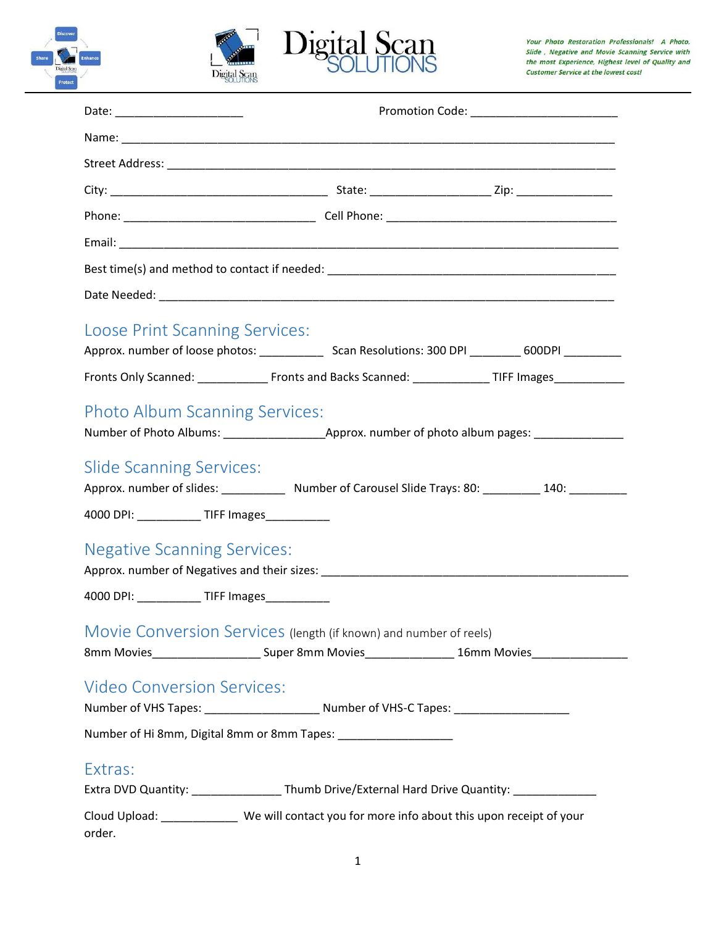





| Loose Print Scanning Services:<br>Fronts Only Scanned: _______________ Fronts and Backs Scanned: _______________TIFF Images___________                                   |  |  |
|--------------------------------------------------------------------------------------------------------------------------------------------------------------------------|--|--|
| <b>Photo Album Scanning Services:</b>                                                                                                                                    |  |  |
| <b>Slide Scanning Services:</b><br>Approx. number of slides: ______________ Number of Carousel Slide Trays: 80: __________ 140: ___________                              |  |  |
| 4000 DPI: ____________ TIFF Images___________<br><b>Negative Scanning Services:</b><br>4000 DPI: ____________ TIFF Images __________                                     |  |  |
| Movie Conversion Services (length (if known) and number of reels)<br>8mm Movies___________________________Super 8mm Movies_________________16mm Movies__________________ |  |  |
| <b>Video Conversion Services:</b><br>Number of VHS Tapes: _______________________________Number of VHS-C Tapes: ________________________                                 |  |  |
| Number of Hi 8mm, Digital 8mm or 8mm Tapes: _____________________                                                                                                        |  |  |
| Extras:<br>Extra DVD Quantity: ____________________Thumb Drive/External Hard Drive Quantity: _________________                                                           |  |  |
| Cloud Upload: ______________ We will contact you for more info about this upon receipt of your<br>order.                                                                 |  |  |